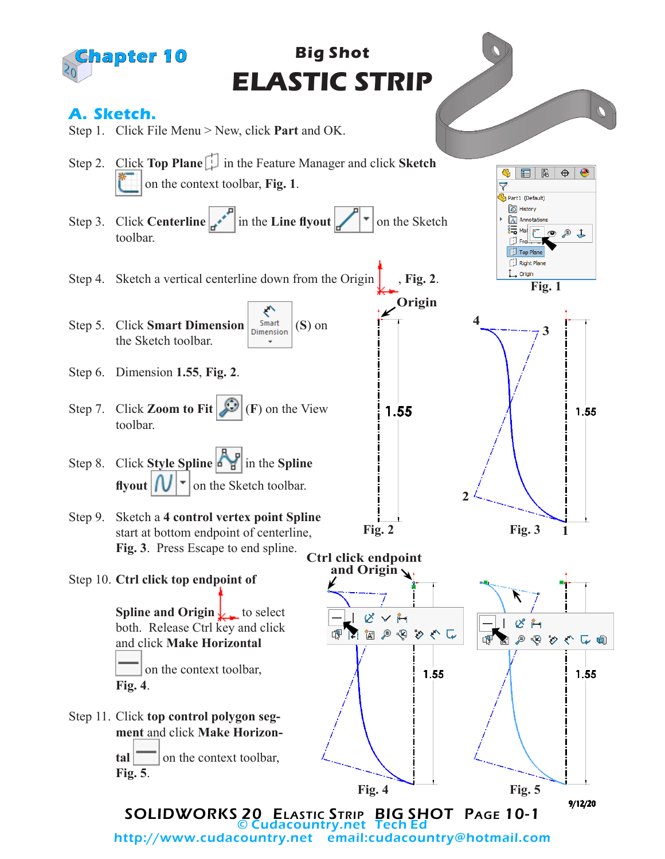

© Cudacountry.net Tech Ed email:cudacountry@hotmail.com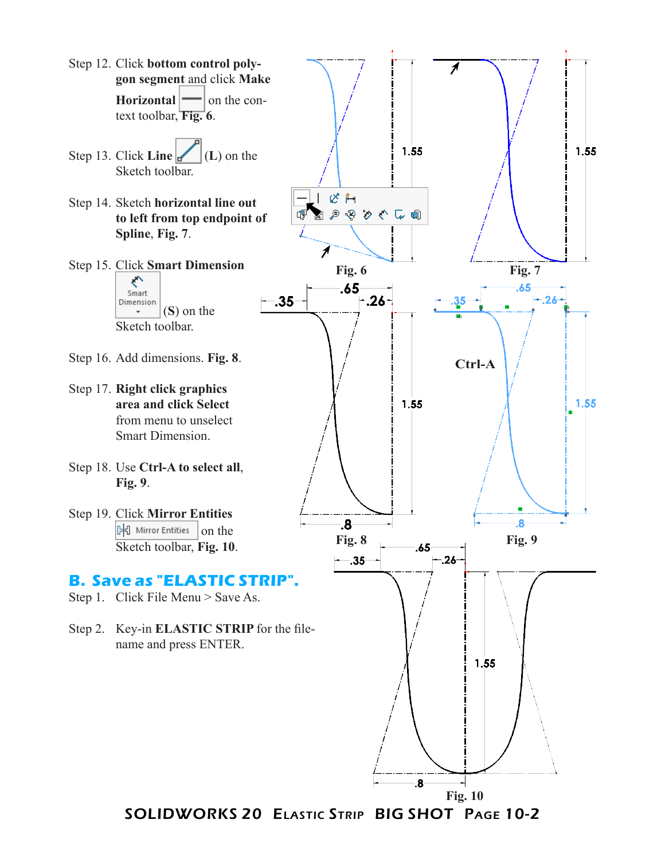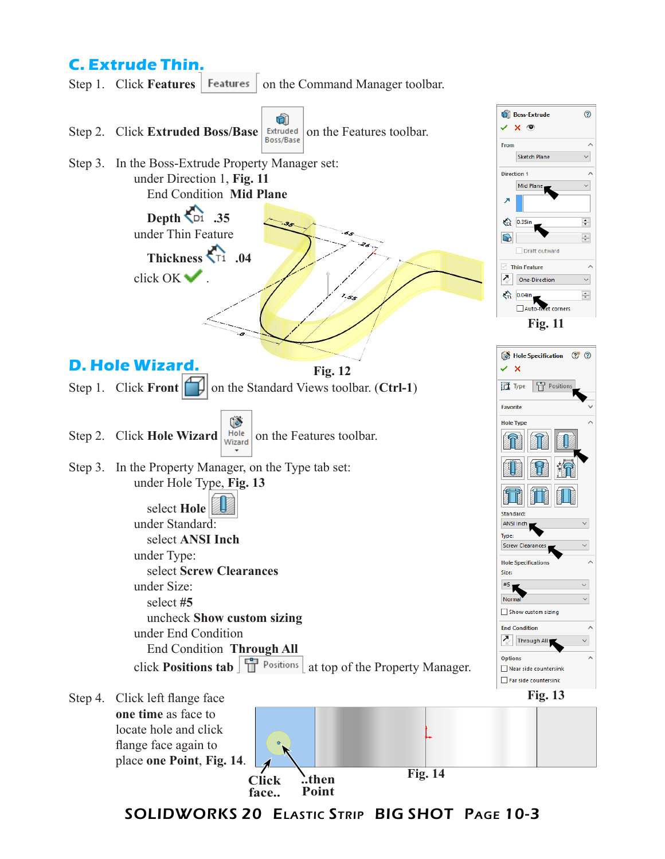## **C. Extrude Thin.**

Step 1. Click **Features** | Features | on the Command Manager toolbar.

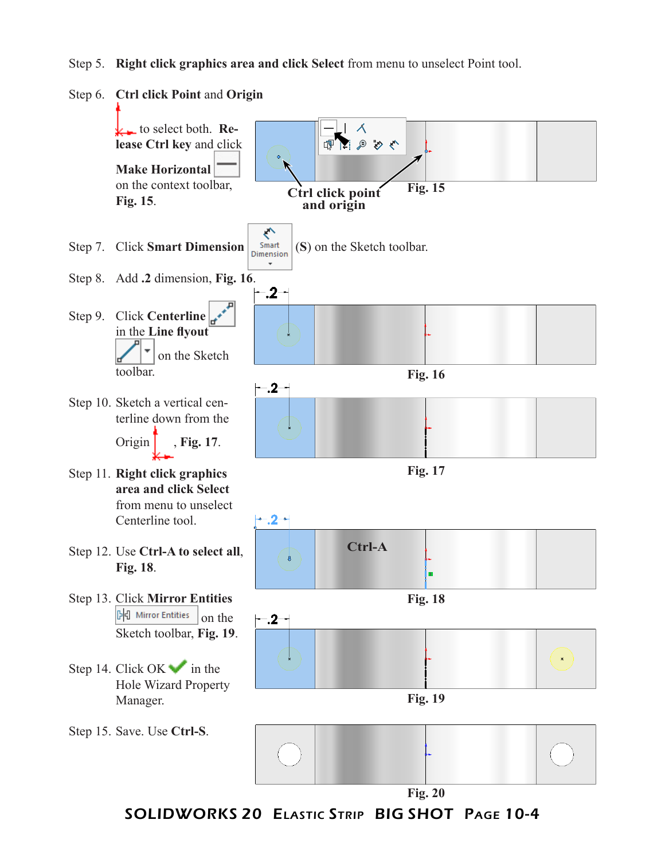Step 5. **Right click graphics area and click Select** from menu to unselect Point tool.

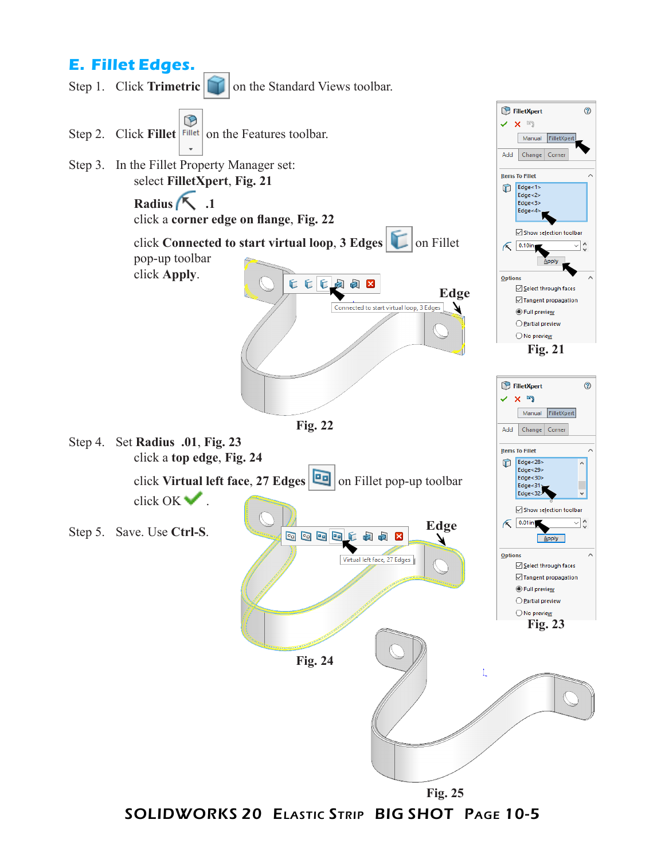